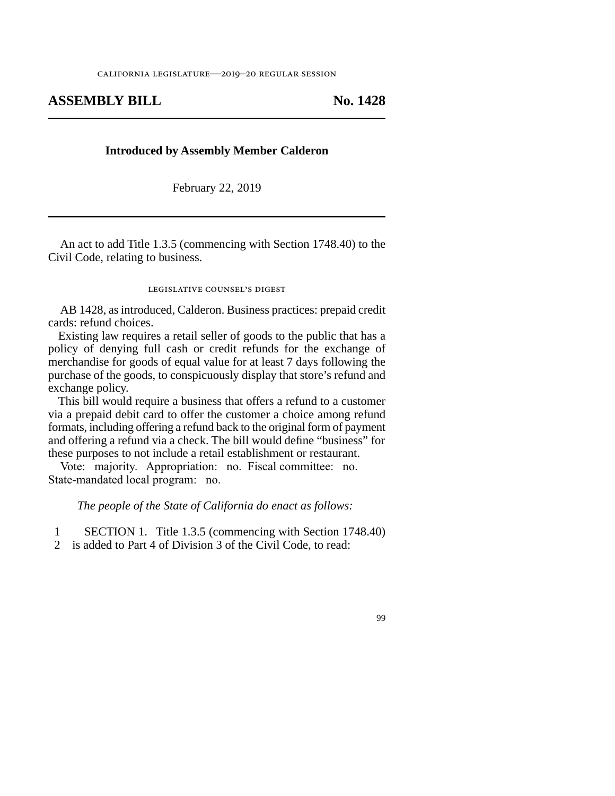## **ASSEMBLY BILL No. 1428**

## **Introduced by Assembly Member Calderon**

February 22, 2019

An act to add Title 1.3.5 (commencing with Section 1748.40) to the Civil Code, relating to business.

## legislative counsel's digest

AB 1428, as introduced, Calderon. Business practices: prepaid credit cards: refund choices.

Existing law requires a retail seller of goods to the public that has a policy of denying full cash or credit refunds for the exchange of merchandise for goods of equal value for at least 7 days following the purchase of the goods, to conspicuously display that store's refund and exchange policy.

This bill would require a business that offers a refund to a customer via a prepaid debit card to offer the customer a choice among refund formats, including offering a refund back to the original form of payment and offering a refund via a check. The bill would define "business" for these purposes to not include a retail establishment or restaurant.

Vote: majority. Appropriation: no. Fiscal committee: no. State-mandated local program: no.

*The people of the State of California do enact as follows:* 

1 SECTION 1. Title 1.3.5 (commencing with Section 1748.40)

2 is added to Part 4 of Division 3 of the Civil Code, to read:

99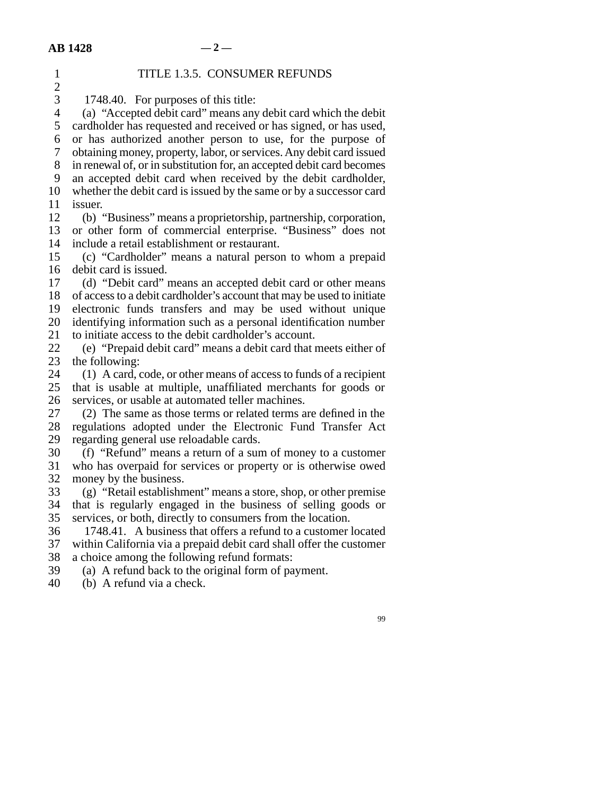| $\mathbf{1}$   | TITLE 1.3.5. CONSUMER REFUNDS                                          |
|----------------|------------------------------------------------------------------------|
| $\overline{c}$ |                                                                        |
| 3              | 1748.40. For purposes of this title:                                   |
| $\overline{4}$ | (a) "Accepted debit card" means any debit card which the debit         |
| 5              | cardholder has requested and received or has signed, or has used,      |
| 6              | or has authorized another person to use, for the purpose of            |
| $\tau$         | obtaining money, property, labor, or services. Any debit card issued   |
| 8              | in renewal of, or in substitution for, an accepted debit card becomes  |
| 9              | an accepted debit card when received by the debit cardholder,          |
| 10             | whether the debit card is issued by the same or by a successor card    |
| 11             | issuer.                                                                |
| 12             | (b) "Business" means a proprietorship, partnership, corporation,       |
| 13             |                                                                        |
|                | or other form of commercial enterprise. "Business" does not            |
| 14             | include a retail establishment or restaurant.                          |
| 15             | (c) "Cardholder" means a natural person to whom a prepaid              |
| 16             | debit card is issued.                                                  |
| 17             | (d) "Debit card" means an accepted debit card or other means           |
| 18             | of access to a debit cardholder's account that may be used to initiate |
| 19             | electronic funds transfers and may be used without unique              |
| 20             | identifying information such as a personal identification number       |
| 21             | to initiate access to the debit cardholder's account.                  |
| 22             | (e) "Prepaid debit card" means a debit card that meets either of       |
| 23             | the following:                                                         |
| 24             | (1) A card, code, or other means of access to funds of a recipient     |
| 25             | that is usable at multiple, unaffiliated merchants for goods or        |
| 26             | services, or usable at automated teller machines.                      |
| 27             | (2) The same as those terms or related terms are defined in the        |
| 28             | regulations adopted under the Electronic Fund Transfer Act             |
| 29             | regarding general use reloadable cards.                                |
| 30             | (f) "Refund" means a return of a sum of money to a customer            |
| 31             | who has overpaid for services or property or is otherwise owed         |
| 32             | money by the business.                                                 |
| 33             | (g) "Retail establishment" means a store, shop, or other premise       |
| 34             | that is regularly engaged in the business of selling goods or          |
| 35             | services, or both, directly to consumers from the location             |
| 36             | 1748.41. A business that offers a refund to a customer located         |
| 37             | within California via a prepaid debit card shall offer the customer    |
| 38             | a choice among the following refund formats:                           |
| 39             | (a) A refund back to the original form of payment.                     |
| 40             | (b) A refund via a check.                                              |
|                |                                                                        |
|                |                                                                        |
|                | 99                                                                     |
|                |                                                                        |
|                |                                                                        |
|                |                                                                        |
|                |                                                                        |